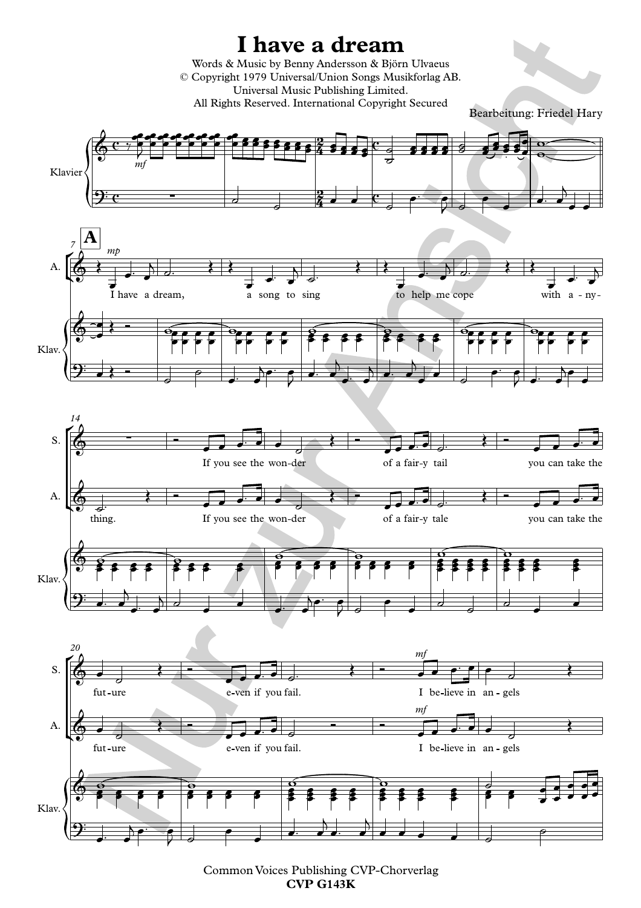

Common Voices Publishing CVP-Chorverlag **CVP G143K**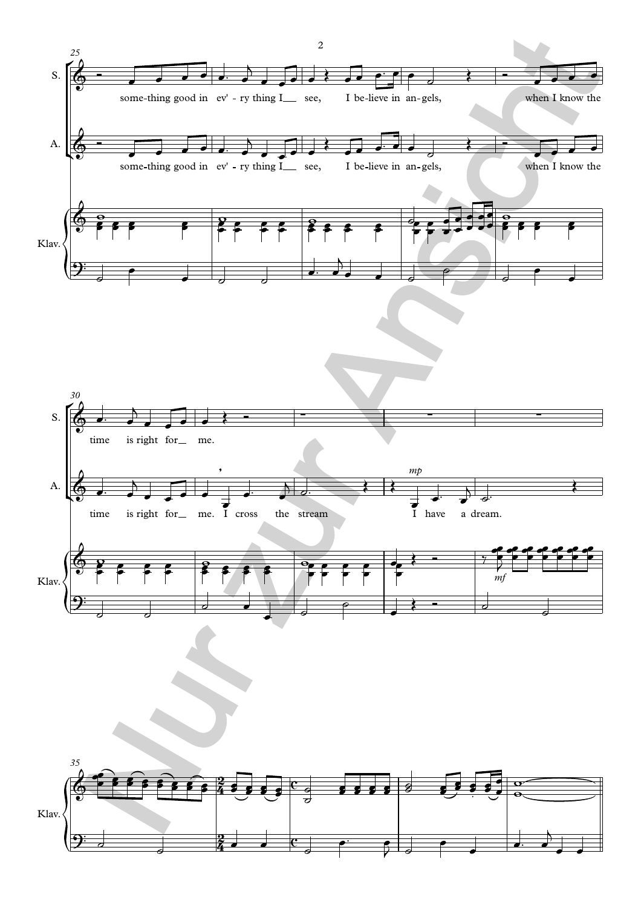





2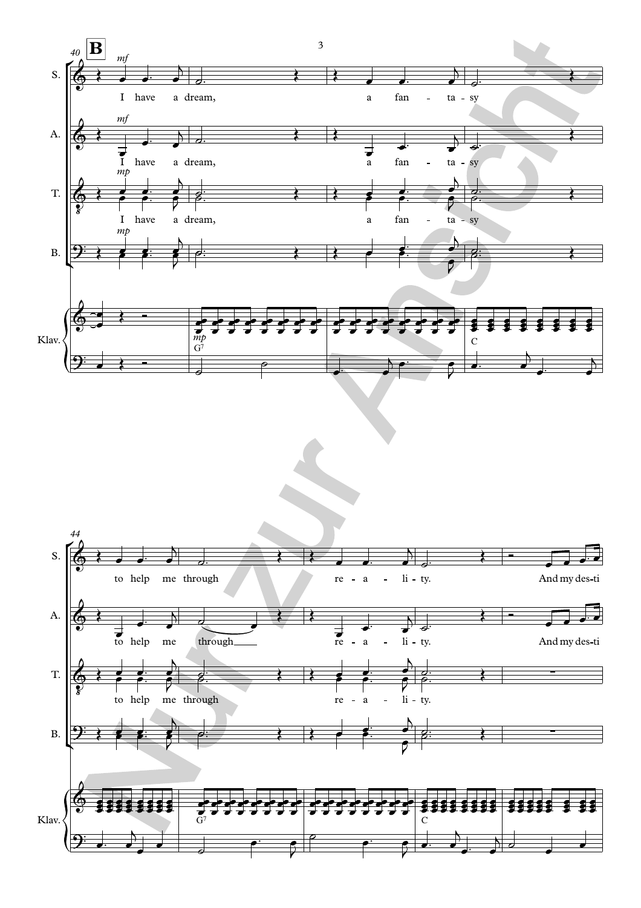

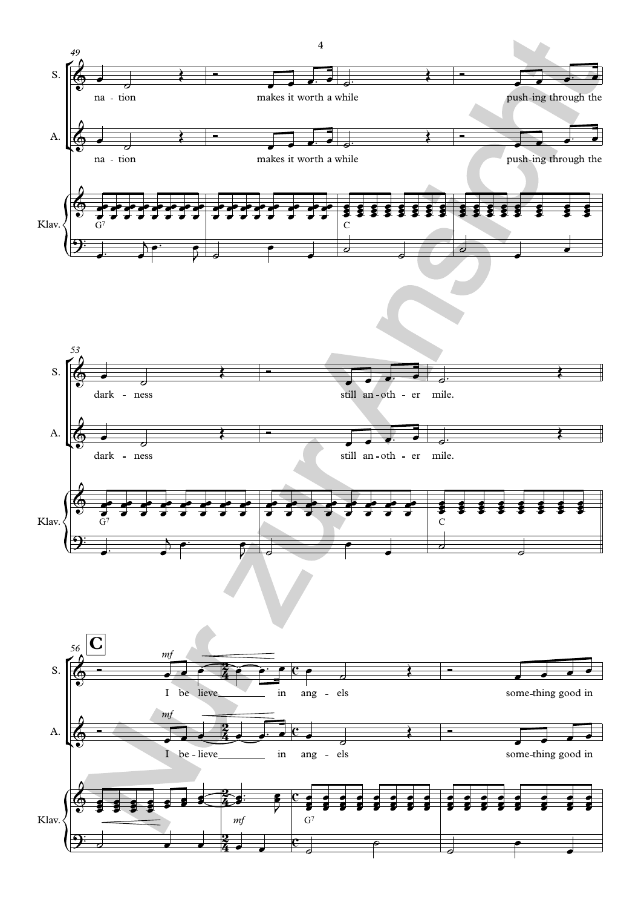